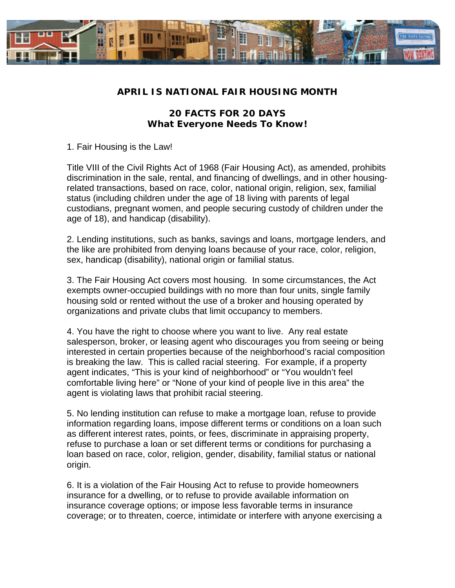

## **APRIL IS NATIONAL FAIR HOUSING MONTH**

## **20 FACTS FOR 20 DAYS**  *What Everyone Needs To Know!*

1. Fair Housing is the Law!

Title VIII of the Civil Rights Act of 1968 (Fair Housing Act), as amended, prohibits discrimination in the sale, rental, and financing of dwellings, and in other housingrelated transactions, based on race, color, national origin, religion, sex, familial status (including children under the age of 18 living with parents of legal custodians, pregnant women, and people securing custody of children under the age of 18), and handicap (disability).

2. Lending institutions, such as banks, savings and loans, mortgage lenders, and the like are prohibited from denying loans because of your race, color, religion, sex, handicap (disability), national origin or familial status.

3. The Fair Housing Act covers most housing. In some circumstances, the Act exempts owner-occupied buildings with no more than four units, single family housing sold or rented without the use of a broker and housing operated by organizations and private clubs that limit occupancy to members.

4. You have the right to choose where you want to live. Any real estate salesperson, broker, or leasing agent who discourages you from seeing or being interested in certain properties because of the neighborhood's racial composition is breaking the law. This is called racial steering. For example, if a property agent indicates, "This is your kind of neighborhood" or "You wouldn't feel comfortable living here" or "None of your kind of people live in this area" the agent is violating laws that prohibit racial steering.

5. No lending institution can refuse to make a mortgage loan, refuse to provide information regarding loans, impose different terms or conditions on a loan such as different interest rates, points, or fees, discriminate in appraising property, refuse to purchase a loan or set different terms or conditions for purchasing a loan based on race, color, religion, gender, disability, familial status or national origin.

6. It is a violation of the Fair Housing Act to refuse to provide homeowners insurance for a dwelling, or to refuse to provide available information on insurance coverage options; or impose less favorable terms in insurance coverage; or to threaten, coerce, intimidate or interfere with anyone exercising a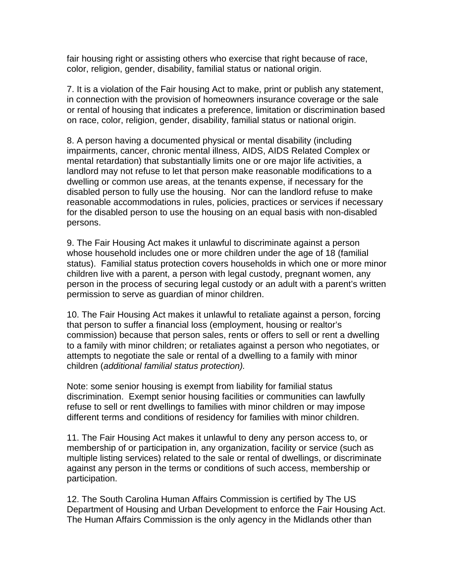fair housing right or assisting others who exercise that right because of race, color, religion, gender, disability, familial status or national origin.

7. It is a violation of the Fair housing Act to make, print or publish any statement, in connection with the provision of homeowners insurance coverage or the sale or rental of housing that indicates a preference, limitation or discrimination based on race, color, religion, gender, disability, familial status or national origin.

8. A person having a documented physical or mental disability (including impairments, cancer, chronic mental illness, AIDS, AIDS Related Complex or mental retardation) that substantially limits one or ore major life activities, a landlord may not refuse to let that person make reasonable modifications to a dwelling or common use areas, at the tenants expense, if necessary for the disabled person to fully use the housing. Nor can the landlord refuse to make reasonable accommodations in rules, policies, practices or services if necessary for the disabled person to use the housing on an equal basis with non-disabled persons.

9. The Fair Housing Act makes it unlawful to discriminate against a person whose household includes one or more children under the age of 18 (familial status). Familial status protection covers households in which one or more minor children live with a parent, a person with legal custody, pregnant women, any person in the process of securing legal custody or an adult with a parent's written permission to serve as guardian of minor children.

10. The Fair Housing Act makes it unlawful to retaliate against a person, forcing that person to suffer a financial loss (employment, housing or realtor's commission) because that person sales, rents or offers to sell or rent a dwelling to a family with minor children; or retaliates against a person who negotiates, or attempts to negotiate the sale or rental of a dwelling to a family with minor children (*additional familial status protection).* 

Note: some senior housing is exempt from liability for familial status discrimination. Exempt senior housing facilities or communities can lawfully refuse to sell or rent dwellings to families with minor children or may impose different terms and conditions of residency for families with minor children.

11. The Fair Housing Act makes it unlawful to deny any person access to, or membership of or participation in, any organization, facility or service (such as multiple listing services) related to the sale or rental of dwellings, or discriminate against any person in the terms or conditions of such access, membership or participation.

12. The South Carolina Human Affairs Commission is certified by The US Department of Housing and Urban Development to enforce the Fair Housing Act. The Human Affairs Commission is the only agency in the Midlands other than